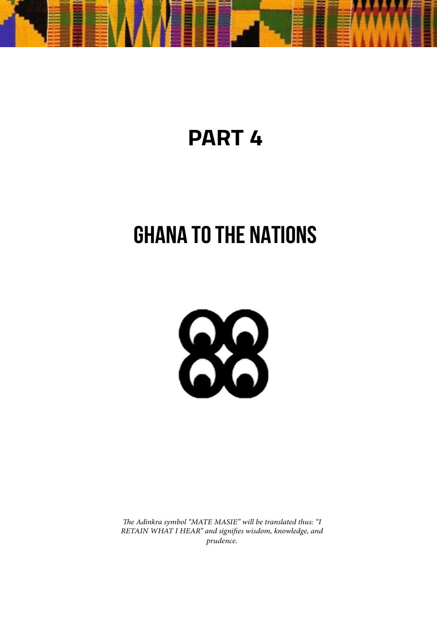

# **PART 4**

# **GHANA TO THE NATIONS**



*The Adinkra symbol "MATE MASIE" will be translated thus: "I RETAIN WHAT I HEAR" and signifies wisdom, knowledge, and prudence.*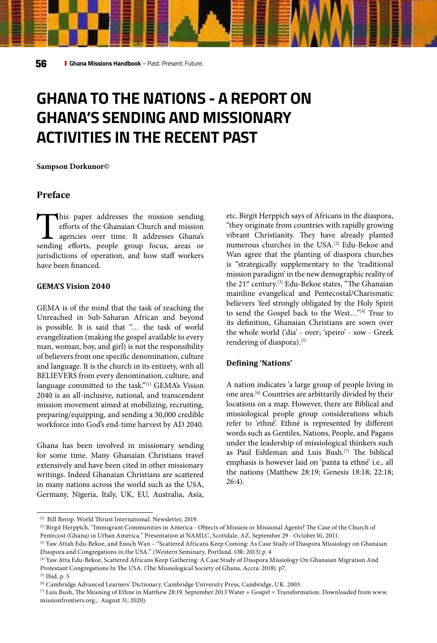## **GHANA TO THE NATIONS - A REPORT ON GHANA'S SENDING AND MISSIONARY ACTIVITIES IN THE RECENT PAST**

**Sampson Dorkunor©** 

#### **Preface**

This paper addresses the mission sending efforts of the Ghanaian Church and mission agencies over time. It addresses Ghana's sending efforts, people group focus, areas or efforts of the Ghanaian Church and mission agencies over time. It addresses Ghana's jurisdictions of operation, and how staff workers have been financed.

#### **GEMA'S Vision 2040**

GEMA is of the mind that the task of reaching the Unreached in Sub-Saharan African and beyond is possible. It is said that "… the task of world evangelization (making the gospel available to every man, woman, boy, and girl) is not the responsibility of believers from one specific denomination, culture and language. It is the church in its entirety, with all BELIEVERS from every denomination, culture, and language committed to the task."<sup>[1]</sup> GEMA's Vision 2040 is an all-inclusive, national, and transcendent mission movement aimed at mobilizing, recruiting, preparing/equipping, and sending a 30,000 credible workforce into God's end-time harvest by AD 2040.

Ghana has been involved in missionary sending for some time. Many Ghanaian Christians travel extensively and have been cited in other missionary writings. Indeed Ghanaian Christians are scattered in many nations across the world such as the USA, Germany, Nigeria, Italy, UK, EU, Australia, Asia,

etc. Birgit Herppich says of Africans in the diaspora, "they originate from countries with rapidly growing vibrant Christianity. They have already planted numerous churches in the USA.[2] Edu-Bekoe and Wan agree that the planting of diaspora churches is "strategically supplementary to the 'traditional mission paradigm' in the new demographic reality of the 21<sup>st</sup> century.<sup>[3]</sup> Edu-Bekoe states, "The Ghanaian mainline evangelical and Pentecostal/Charismatic believers 'feel strongly obligated by the Holy Spirit to send the Gospel back to the West…"[4] True to its definition, Ghanaian Christians are sown over the whole world ('dia' - over; 'speiro' - sow - Greek rendering of diaspora).[5]

#### **Defining 'Nations'**

A nation indicates 'a large group of people living in one area.[6] Countries are arbitrarily divided by their locations on a map. However, there are Biblical and missiological people group considerations which refer to 'ethné'. Ethné is represented by different words such as Gentiles, Nations, People, and Pagans under the leadership of missiological thinkers such as Paul Eshleman and Luis Bush.[7] The biblical emphasis is however laid on 'panta ta ethné' i.e., all the nations (Matthew 28:19; Genesis 18:18; 22:18; 26:4).

<sup>[1]</sup> Bill Berop. World Thrust International. Newsletter, 2019.

<sup>[2]</sup> Birgit Herppich, "Immigrant Communities in America - Objects of Mission or Missional Agents? The Case of the Church of Pentecost (Ghana) in Urban America." Presentation at NAMLC, Scottdale, AZ. September 29 - October 01, 2011.

<sup>[3]</sup> Yaw Attah Edu-Bekoe, and Enoch Wan – "Scattered Africans Keep Coming: As Case Study of Diaspora Missiology on Ghanaian Diaspora and Congregations in the USA." (Western Seminary, Portland, OR: 2013) p. 4

<sup>[4]</sup> Yaw Atta Edu-Bekoe, Scattered Africans Keep Gathering: A Case Study of Diaspora Missiology On Ghanaian Migration And Protestant Congregations In The USA. (The Missiological Society of Ghana, Accra: 2018). p7.

<sup>[5]</sup> Ibid, p. 5

<sup>[6]</sup> Cambridge Advanced Learners' Dictionary. Cambridge University Press, Cambridge, UK. 2003.

 $^{[7]}$  Luis Bush, The Meaning of Ethne in Matthew 28:19. September 2013 Water + Gospel = Transformation. Downloaded from www. missionfrontiers.org., August 31, 2020).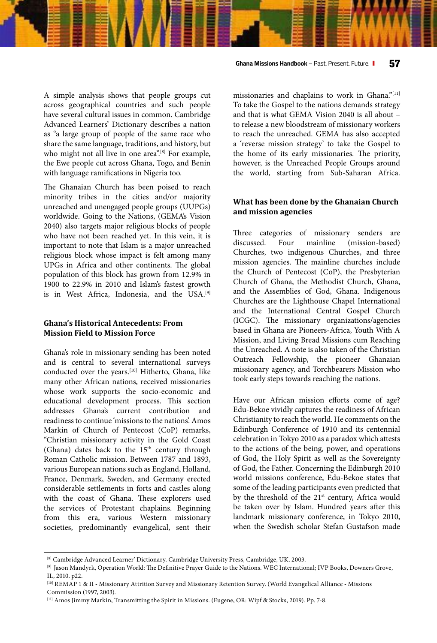A simple analysis shows that people groups cut across geographical countries and such people have several cultural issues in common. Cambridge Advanced Learners' Dictionary describes a nation as "a large group of people of the same race who share the same language, traditions, and history, but who might not all live in one area".<sup>[8]</sup> For example, the Ewe people cut across Ghana, Togo, and Benin with language ramifications in Nigeria too.

The Ghanaian Church has been poised to reach minority tribes in the cities and/or majority unreached and unengaged people groups (UUPGs) worldwide. Going to the Nations, (GEMA's Vision 2040) also targets major religious blocks of people who have not been reached yet. In this vein, it is important to note that Islam is a major unreached religious block whose impact is felt among many UPGs in Africa and other continents. The global population of this block has grown from 12.9% in 1900 to 22.9% in 2010 and Islam's fastest growth is in West Africa, Indonesia, and the USA.<sup>[9]</sup>

#### **Ghana's Historical Antecedents: From Mission Field to Mission Force**

Ghana's role in missionary sending has been noted and is central to several international surveys conducted over the years.<sup>[10]</sup> Hitherto, Ghana, like many other African nations, received missionaries whose work supports the socio-economic and educational development process. This section addresses Ghana's current contribution and readiness to continue 'missions to the nations'. Amos Markin of Church of Pentecost (CoP) remarks, "Christian missionary activity in the Gold Coast (Ghana) dates back to the  $15<sup>th</sup>$  century through Roman Catholic mission. Between 1787 and 1893, various European nations such as England, Holland, France, Denmark, Sweden, and Germany erected considerable settlements in forts and castles along with the coast of Ghana. These explorers used the services of Protestant chaplains. Beginning from this era, various Western missionary societies, predominantly evangelical, sent their missionaries and chaplains to work in Ghana."[11] To take the Gospel to the nations demands strategy and that is what GEMA Vision 2040 is all about – to release a new bloodstream of missionary workers to reach the unreached. GEMA has also accepted a 'reverse mission strategy' to take the Gospel to the home of its early missionaries. The priority, however, is the Unreached People Groups around the world, starting from Sub-Saharan Africa.

#### **What has been done by the Ghanaian Church and mission agencies**

Three categories of missionary senders are discussed. Four mainline (mission-based) Churches, two indigenous Churches, and three mission agencies. The mainline churches include the Church of Pentecost (CoP), the Presbyterian Church of Ghana, the Methodist Church, Ghana, and the Assemblies of God, Ghana. Indigenous Churches are the Lighthouse Chapel International and the International Central Gospel Church (ICGC). The missionary organizations/agencies based in Ghana are Pioneers-Africa, Youth With A Mission, and Living Bread Missions cum Reaching the Unreached. A note is also taken of the Christian Outreach Fellowship, the pioneer Ghanaian missionary agency, and Torchbearers Mission who took early steps towards reaching the nations.

Have our African mission efforts come of age? Edu-Bekoe vividly captures the readiness of African Christianity to reach the world. He comments on the Edinburgh Conference of 1910 and its centennial celebration in Tokyo 2010 as a paradox which attests to the actions of the being, power, and operations of God, the Holy Spirit as well as the Sovereignty of God, the Father. Concerning the Edinburgh 2010 world missions conference, Edu-Bekoe states that some of the leading participants even predicted that by the threshold of the 21<sup>st</sup> century, Africa would be taken over by Islam. Hundred years after this landmark missionary conference, in Tokyo 2010, when the Swedish scholar Stefan Gustafson made

<sup>[8]</sup> Cambridge Advanced Learner' Dictionary. Cambridge University Press, Cambridge, UK. 2003.

<sup>[9]</sup> Jason Mandyrk, Operation World: The Definitive Prayer Guide to the Nations. WEC International; IVP Books, Downers Grove, IL, 2010. p22.

<sup>[10]</sup> REMAP 1 & II - Missionary Attrition Survey and Missionary Retention Survey. (World Evangelical Alliance - Missions Commission (1997, 2003).

<sup>[11]</sup> Amos Jimmy Markin, Transmitting the Spirit in Missions. (Eugene, OR: Wipf & Stocks, 2019). Pp. 7-8.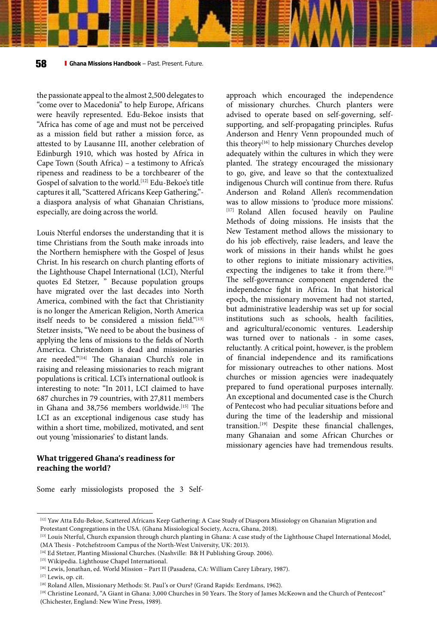the passionate appeal to the almost 2,500 delegates to "come over to Macedonia" to help Europe, Africans were heavily represented. Edu-Bekoe insists that "Africa has come of age and must not be perceived as a mission field but rather a mission force, as attested to by Lausanne III, another celebration of Edinburgh 1910, which was hosted by Africa in Cape Town (South Africa) – a testimony to Africa's ripeness and readiness to be a torchbearer of the Gospel of salvation to the world.[12] Edu-Bekoe's title captures it all, "Scattered Africans Keep Gathering," a diaspora analysis of what Ghanaian Christians, especially, are doing across the world.

Louis Nterful endorses the understanding that it is time Christians from the South make inroads into the Northern hemisphere with the Gospel of Jesus Christ. In his research on church planting efforts of the Lighthouse Chapel International (LCI), Nterful quotes Ed Stetzer, " Because population groups have migrated over the last decades into North America, combined with the fact that Christianity is no longer the American Religion, North America itself needs to be considered a mission field."[13] Stetzer insists, "We need to be about the business of applying the lens of missions to the fields of North America. Christendom is dead and missionaries are needed."[14] The Ghanaian Church's role in raising and releasing missionaries to reach migrant populations is critical. LCI's international outlook is interesting to note: "In 2011, LCI claimed to have 687 churches in 79 countries, with 27,811 members in Ghana and 38,756 members worldwide.<sup>[15]</sup> The LCI as an exceptional indigenous case study has within a short time, mobilized, motivated, and sent out young 'missionaries' to distant lands.

approach which encouraged the independence of missionary churches. Church planters were advised to operate based on self-governing, selfsupporting, and self-propagating principles. Rufus Anderson and Henry Venn propounded much of this theory<sup>[16]</sup> to help missionary Churches develop adequately within the cultures in which they were planted. The strategy encouraged the missionary to go, give, and leave so that the contextualized indigenous Church will continue from there. Rufus Anderson and Roland Allen's recommendation was to allow missions to 'produce more missions'. [17] Roland Allen focused heavily on Pauline Methods of doing missions. He insists that the New Testament method allows the missionary to do his job effectively, raise leaders, and leave the work of missions in their hands whilst he goes to other regions to initiate missionary activities, expecting the indigenes to take it from there.<sup>[18]</sup> The self-governance component engendered the independence fight in Africa. In that historical epoch, the missionary movement had not started, but administrative leadership was set up for social institutions such as schools, health facilities, and agricultural/economic ventures. Leadership was turned over to nationals - in some cases, reluctantly. A critical point, however, is the problem of financial independence and its ramifications for missionary outreaches to other nations. Most churches or mission agencies were inadequately prepared to fund operational purposes internally. An exceptional and documented case is the Church of Pentecost who had peculiar situations before and during the time of the leadership and missional transition.[19] Despite these financial challenges, many Ghanaian and some African Churches or missionary agencies have had tremendous results.

#### **What triggered Ghana's readiness for reaching the world?**

Some early missiologists proposed the 3 Self-

<sup>[12]</sup> Yaw Atta Edu-Bekoe, Scattered Africans Keep Gathering: A Case Study of Diaspora Missiology on Ghanaian Migration and Protestant Congregations in the USA. (Ghana Missiological Society, Accra, Ghana, 2018).

<sup>[13]</sup> Louis Nterful, Church expansion through church planting in Ghana: A case study of the Lighthouse Chapel International Model, (MA Thesis - Potchefstroom Campus of the North-West University, UK: 2013).

<sup>[14]</sup> Ed Stetzer, Planting Missional Churches. (Nashville: B& H Publishing Group. 2006).

<sup>[15]</sup> Wikipedia. Lighthouse Chapel International.

<sup>[16]</sup> Lewis, Jonathan, ed. World Mission - Part II (Pasadena, CA: William Carey Library, 1987).

<sup>[17]</sup> Lewis, op. cit.

<sup>[18]</sup> Roland Allen, Missionary Methods: St. Paul's or Ours? (Grand Rapids: Eerdmans, 1962).

<sup>[19]</sup> Christine Leonard, "A Giant in Ghana: 3,000 Churches in 50 Years. The Story of James McKeown and the Church of Pentecost" (Chichester, England: New Wine Press, 1989).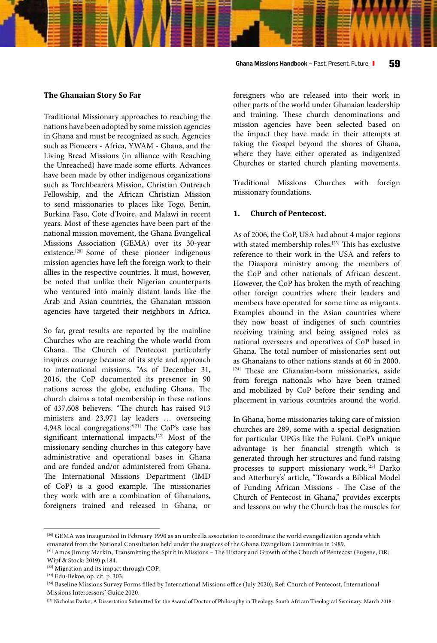#### **Ghana Missions Handbook** – Past. Present. Future. **59**

#### **The Ghanaian Story So Far**

Traditional Missionary approaches to reaching the nations have been adopted by some mission agencies in Ghana and must be recognized as such. Agencies such as Pioneers - Africa, YWAM - Ghana, and the Living Bread Missions (in alliance with Reaching the Unreached) have made some efforts. Advances have been made by other indigenous organizations such as Torchbearers Mission, Christian Outreach Fellowship, and the African Christian Mission to send missionaries to places like Togo, Benin, Burkina Faso, Cote d'Ivoire, and Malawi in recent years. Most of these agencies have been part of the national mission movement, the Ghana Evangelical Missions Association (GEMA) over its 30-year existence.<sup>[20]</sup> Some of these pioneer indigenous mission agencies have left the foreign work to their allies in the respective countries. It must, however, be noted that unlike their Nigerian counterparts who ventured into mainly distant lands like the Arab and Asian countries, the Ghanaian mission agencies have targeted their neighbors in Africa.

So far, great results are reported by the mainline Churches who are reaching the whole world from Ghana. The Church of Pentecost particularly inspires courage because of its style and approach to international missions. "As of December 31, 2016, the CoP documented its presence in 90 nations across the globe, excluding Ghana. The church claims a total membership in these nations of 437,608 believers. "The church has raised 913 ministers and 23,971 lay leaders … overseeing 4,948 local congregations."[21] The CoP's case has significant international impacts.[22] Most of the missionary sending churches in this category have administrative and operational bases in Ghana and are funded and/or administered from Ghana. The International Missions Department (IMD of CoP) is a good example. The missionaries they work with are a combination of Ghanaians, foreigners trained and released in Ghana, or

foreigners who are released into their work in other parts of the world under Ghanaian leadership and training. These church denominations and mission agencies have been selected based on the impact they have made in their attempts at taking the Gospel beyond the shores of Ghana, where they have either operated as indigenized Churches or started church planting movements.

Traditional Missions Churches with foreign missionary foundations.

#### **1. Church of Pentecost.**

As of 2006, the CoP, USA had about 4 major regions with stated membership roles.<sup>[23]</sup> This has exclusive reference to their work in the USA and refers to the Diaspora ministry among the members of the CoP and other nationals of African descent. However, the CoP has broken the myth of reaching other foreign countries where their leaders and members have operated for some time as migrants. Examples abound in the Asian countries where they now boast of indigenes of such countries receiving training and being assigned roles as national overseers and operatives of CoP based in Ghana. The total number of missionaries sent out as Ghanaians to other nations stands at 60 in 2000. [24] These are Ghanaian-born missionaries, aside from foreign nationals who have been trained and mobilized by CoP before their sending and placement in various countries around the world.

In Ghana, home missionaries taking care of mission churches are 289, some with a special designation for particular UPGs like the Fulani. CoP's unique advantage is her financial strength which is generated through her structures and fund-raising processes to support missionary work.[25] Darko and Atterbury's' article, "Towards a Biblical Model of Funding African Missions - The Case of the Church of Pentecost in Ghana," provides excerpts and lessons on why the Church has the muscles for

<sup>&</sup>lt;sup>[20]</sup> GEMA was inaugurated in February 1990 as an umbrella association to coordinate the world evangelization agenda which emanated from the National Consultation held under the auspices of the Ghana Evangelism Committee in 1989.

 $^{[21]}$  Amos Jimmy Markin, Transmitting the Spirit in Missions – The History and Growth of the Church of Pentecost (Eugene, OR: Wipf & Stock: 2019) p.184.

 $^{[23]}$  Edu-Bekoe, op. cit. p. 303.<br> $^{[24]}$  Baseline Missions Survey Forms filled by International Missions office (July 2020); Ref: Church of Pentecost, International Missions Intercessors' Guide 2020.

<sup>&</sup>lt;sup>[25]</sup> Nicholas Darko, A Dissertation Submitted for the Award of Doctor of Philosophy in Theology. South African Theological Seminary, March 2018.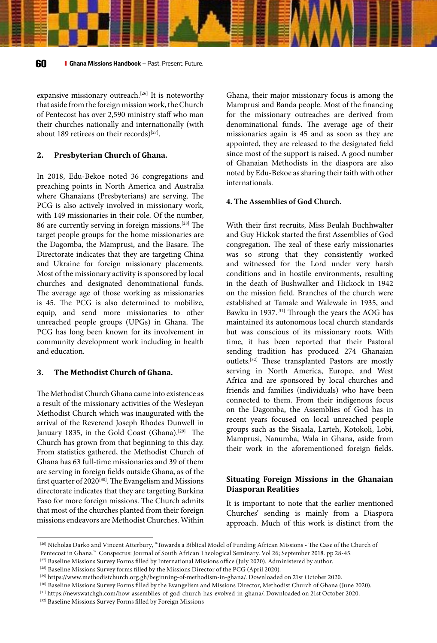expansive missionary outreach.<sup>[26]</sup> It is noteworthy that aside from the foreign mission work, the Church of Pentecost has over 2,590 ministry staff who man their churches nationally and internationally (with about 189 retirees on their records)<sup>[27]</sup>.

#### **2. Presbyterian Church of Ghana.**

In 2018, Edu-Bekoe noted 36 congregations and preaching points in North America and Australia where Ghanaians (Presbyterians) are serving. The PCG is also actively involved in missionary work, with 149 missionaries in their role. Of the number, 86 are currently serving in foreign missions.[28] The target people groups for the home missionaries are the Dagomba, the Mamprusi, and the Basare. The Directorate indicates that they are targeting China and Ukraine for foreign missionary placements. Most of the missionary activity is sponsored by local churches and designated denominational funds. The average age of those working as missionaries is 45. The PCG is also determined to mobilize, equip, and send more missionaries to other unreached people groups (UPGs) in Ghana. The PCG has long been known for its involvement in community development work including in health and education.

#### **3. The Methodist Church of Ghana.**

The Methodist Church Ghana came into existence as a result of the missionary activities of the Wesleyan Methodist Church which was inaugurated with the arrival of the Reverend Joseph Rhodes Dunwell in January 1835, in the Gold Coast (Ghana).<sup>[29]</sup> The Church has grown from that beginning to this day. From statistics gathered, the Methodist Church of Ghana has 63 full-time missionaries and 39 of them are serving in foreign fields outside Ghana, as of the first quarter of 2020<sup>[30]</sup>. The Evangelism and Missions directorate indicates that they are targeting Burkina Faso for more foreign missions. The Church admits that most of the churches planted from their foreign missions endeavors are Methodist Churches. Within

Ghana, their major missionary focus is among the Mamprusi and Banda people. Most of the financing for the missionary outreaches are derived from denominational funds. The average age of their missionaries again is 45 and as soon as they are appointed, they are released to the designated field since most of the support is raised. A good number of Ghanaian Methodists in the diaspora are also noted by Edu-Bekoe as sharing their faith with other internationals.

#### **4. The Assemblies of God Church.**

With their first recruits, Miss Beulah Buchhwalter and Guy Hickok started the first Assemblies of God congregation. The zeal of these early missionaries was so strong that they consistently worked and witnessed for the Lord under very harsh conditions and in hostile environments, resulting in the death of Bushwalker and Hickock in 1942 on the mission field. Branches of the church were established at Tamale and Walewale in 1935, and Bawku in 1937.[31] Through the years the AOG has maintained its autonomous local church standards but was conscious of its missionary roots. With time, it has been reported that their Pastoral sending tradition has produced 274 Ghanaian outlets.[32] These transplanted Pastors are mostly serving in North America, Europe, and West Africa and are sponsored by local churches and friends and families (individuals) who have been connected to them. From their indigenous focus on the Dagomba, the Assemblies of God has in recent years focused on local unreached people groups such as the Sisaala, Larteh, Kotokoli, Lobi, Mamprusi, Nanumba, Wala in Ghana, aside from their work in the aforementioned foreign fields.

#### **Situating Foreign Missions in the Ghanaian Diasporan Realities**

It is important to note that the earlier mentioned Churches' sending is mainly from a Diaspora approach. Much of this work is distinct from the

<sup>[26]</sup> Nicholas Darko and Vincent Atterbury, "Towards a Biblical Model of Funding African Missions - The Case of the Church of

Pentecost in Ghana." Conspectus: Journal of South African Theological Seminary. Vol 26; September 2018. pp 28-45.<br><sup>[27]</sup> Baseline Missions Survey Forms filled by International Missions office (July 2020). Administered by a

<sup>&</sup>lt;sup>[28]</sup> Baseline Missions Survey forms filled by the Missions Director of the PCG (April 2020).<br><sup>[29]</sup> https://www.methodistchurch.org.gh/beginning-of-methodism-in-ghana/. Downloaded on 21st October 2020.<br><sup>[30]</sup> Baseline Mi

<sup>[32]</sup> Baseline Missions Survey Forms filled by Foreign Missions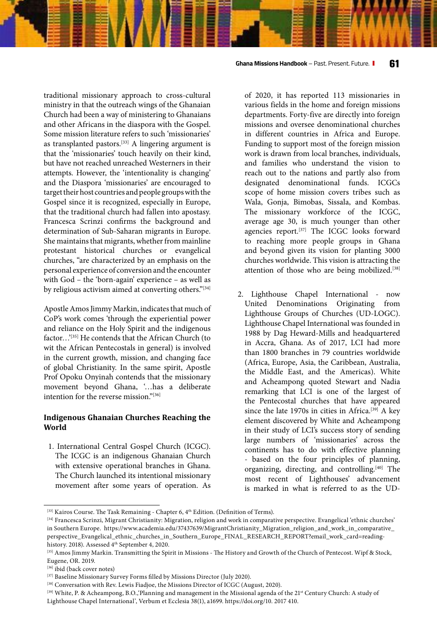**Ghana Missions Handbook** – Past. Present. Future. **61**

traditional missionary approach to cross-cultural ministry in that the outreach wings of the Ghanaian Church had been a way of ministering to Ghanaians and other Africans in the diaspora with the Gospel. Some mission literature refers to such 'missionaries' as transplanted pastors.<sup>[33]</sup> A lingering argument is that the 'missionaries' touch heavily on their kind, but have not reached unreached Westerners in their attempts. However, the 'intentionality is changing' and the Diaspora 'missionaries' are encouraged to target their host countries and people groups with the Gospel since it is recognized, especially in Europe, that the traditional church had fallen into apostasy. Francesca Scrinzi confirms the background and determination of Sub-Saharan migrants in Europe. She maintains that migrants, whether from mainline protestant historical churches or evangelical churches, "are characterized by an emphasis on the personal experience of conversion and the encounter with God – the 'born-again' experience – as well as by religious activism aimed at converting others."<sup>[34]</sup>

Apostle Amos Jimmy Markin, indicates that much of CoP's work comes 'through the experiential power and reliance on the Holy Spirit and the indigenous factor...'[35] He contends that the African Church (to wit the African Pentecostals in general) is involved in the current growth, mission, and changing face of global Christianity. In the same spirit, Apostle Prof Opoku Onyinah contends that the missionary movement beyond Ghana, '…has a deliberate intention for the reverse mission."[36]

#### **Indigenous Ghanaian Churches Reaching the World**

1. International Central Gospel Church (ICGC). The ICGC is an indigenous Ghanaian Church with extensive operational branches in Ghana. The Church launched its intentional missionary movement after some years of operation. As

of 2020, it has reported 113 missionaries in various fields in the home and foreign missions departments. Forty-five are directly into foreign missions and oversee denominational churches in different countries in Africa and Europe. Funding to support most of the foreign mission work is drawn from local branches, individuals, and families who understand the vision to reach out to the nations and partly also from designated denominational funds. ICGCs scope of home mission covers tribes such as Wala, Gonja, Bimobas, Sissala, and Kombas. The missionary workforce of the ICGC, average age 30, is much younger than other agencies report.<sup>[37]</sup> The ICGC looks forward to reaching more people groups in Ghana and beyond given its vision for planting 3000 churches worldwide. This vision is attracting the attention of those who are being mobilized.<sup>[38]</sup>

2. Lighthouse Chapel International - now United Denominations Originating from Lighthouse Groups of Churches (UD-LOGC). Lighthouse Chapel International was founded in 1988 by Dag Heward-Mills and headquartered in Accra, Ghana. As of 2017, LCI had more than 1800 branches in 79 countries worldwide (Africa, Europe, Asia, the Caribbean, Australia, the Middle East, and the Americas). White and Acheampong quoted Stewart and Nadia remarking that LCI is one of the largest of the Pentecostal churches that have appeared since the late 1970s in cities in Africa.<sup>[39]</sup> A key element discovered by White and Acheampong in their study of LCI's success story of sending large numbers of 'missionaries' across the continents has to do with effective planning - based on the four principles of planning, organizing, directing, and controlling.<sup>[40]</sup> The most recent of Lighthouses' advancement is marked in what is referred to as the UD-

<sup>[33]</sup> Kairos Course. The Task Remaining - Chapter 6, 4th Edition. (Definition of Terms). [34] Francesca Scrinzi, Migrant Christianity: Migration, religion and work in comparative perspective. Evangelical 'ethnic churches' in Southern Europe. https://www.academia.edu/37437639/MigrantChristianity\_Migration\_religion\_and\_work\_in\_comparative\_ perspective\_Evangelical\_ethnic\_churches\_in\_Southern\_Europe\_FINAL\_RESEARCH\_REPORT?email\_work\_card=readinghistory. 2018). Assessed 4<sup>th</sup> September 4, 2020.<br><sup>[35]</sup> Amos Jimmy Markin. Transmitting the Spirit in Missions - The History and Growth of the Church of Pentecost. Wipf & Stock,

Eugene, OR. 2019.<br><sup>[36]</sup> ibid (back cover notes)

<sup>&</sup>lt;sup>[37]</sup> Baseline Missionary Survey Forms filled by Missions Director (July 2020).<br><sup>[38]</sup> Conversation with Rev. Lewis Fiadjoe, the Missions Director of ICGC (August, 2020).<br><sup>[39]</sup> White, P. & Acheampong, B.O.,'Planning and Lighthouse Chapel International', Verbum et Ecclesia 38(1), a1699. https://doi.org/10. 2017 410.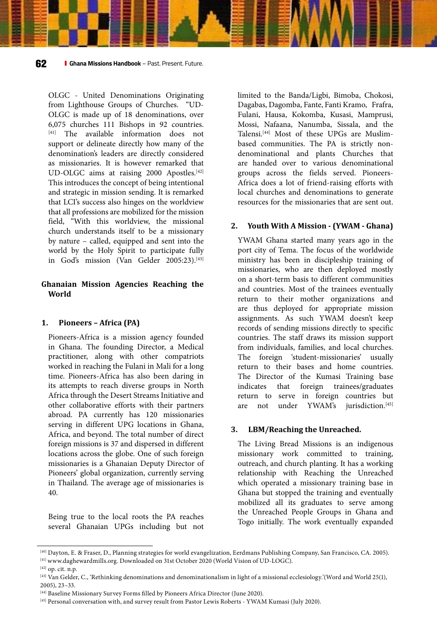OLGC - United Denominations Originating from Lighthouse Groups of Churches. "UD-OLGC is made up of 18 denominations, over 6,075 churches 111 Bishops in 92 countries. [41] The available information does not support or delineate directly how many of the denomination's leaders are directly considered as missionaries. It is however remarked that UD-OLGC aims at raising 2000 Apostles.<sup>[42]</sup> This introduces the concept of being intentional and strategic in mission sending. It is remarked that LCI's success also hinges on the worldview that all professions are mobilized for the mission field, "With this worldview, the missional church understands itself to be a missionary by nature – called, equipped and sent into the world by the Holy Spirit to participate fully in God's mission (Van Gelder 2005:23).<sup>[43]</sup>

#### **Ghanaian Mission Agencies Reaching the World**

#### **1. Pioneers – Africa (PA)**

Pioneers-Africa is a mission agency founded in Ghana. The founding Director, a Medical practitioner, along with other compatriots worked in reaching the Fulani in Mali for a long time. Pioneers-Africa has also been daring in its attempts to reach diverse groups in North Africa through the Desert Streams Initiative and other collaborative efforts with their partners abroad. PA currently has 120 missionaries serving in different UPG locations in Ghana, Africa, and beyond. The total number of direct foreign missions is 37 and dispersed in different locations across the globe. One of such foreign missionaries is a Ghanaian Deputy Director of Pioneers' global organization, currently serving in Thailand. The average age of missionaries is 40.

Being true to the local roots the PA reaches several Ghanaian UPGs including but not

limited to the Banda/Ligbi, Bimoba, Chokosi, Dagabas, Dagomba, Fante, Fanti Kramo, Frafra, Fulani, Hausa, Kokomba, Kusasi, Mamprusi, Mossi, Nafaana, Nanumba, Sissala, and the Talensi.[44] Most of these UPGs are Muslimbased communities. The PA is strictly nondenominational and plants Churches that are handed over to various denominational groups across the fields served. Pioneers-Africa does a lot of friend-raising efforts with local churches and denominations to generate resources for the missionaries that are sent out.

#### **2. Youth With A Mission - (YWAM - Ghana)**

YWAM Ghana started many years ago in the port city of Tema. The focus of the worldwide ministry has been in discipleship training of missionaries, who are then deployed mostly on a short-term basis to different communities and countries. Most of the trainees eventually return to their mother organizations and are thus deployed for appropriate mission assignments. As such YWAM doesn't keep records of sending missions directly to specific countries. The staff draws its mission support from individuals, families, and local churches. The foreign 'student-missionaries' usually return to their bases and home countries. The Director of the Kumasi Training base indicates that foreign trainees/graduates return to serve in foreign countries but are not under YWAM's jurisdiction.[45]

#### **3. LBM/Reaching the Unreached.**

The Living Bread Missions is an indigenous missionary work committed to training, outreach, and church planting. It has a working relationship with Reaching the Unreached which operated a missionary training base in Ghana but stopped the training and eventually mobilized all its graduates to serve among the Unreached People Groups in Ghana and Togo initially. The work eventually expanded

<sup>&</sup>lt;sup>[40]</sup> Dayton, E. & Fraser, D., Planning strategies for world evangelization, Eerdmans Publishing Company, San Francisco, CA. 2005).<br><sup>[41]</sup> www.daghewardmills.org. Downloaded on 31st October 2020 (World Vision of UD-LOGC)

<sup>2005), 23–33.</sup> 

<sup>[44]</sup> Baseline Missionary Survey Forms filled by Pioneers Africa Director (June 2020). [45] Personal conversation with, and survey result from Pastor Lewis Roberts - YWAM Kumasi (July 2020).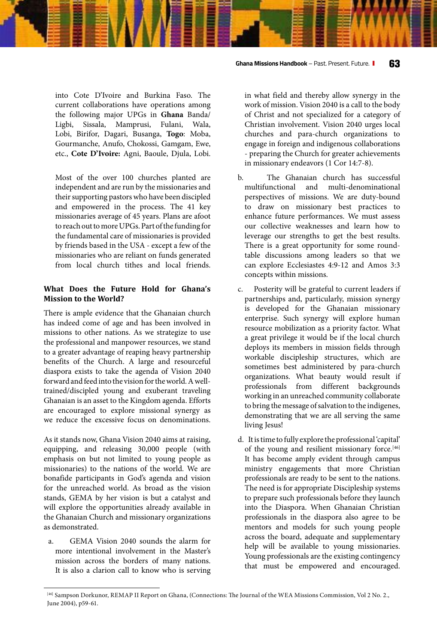into Cote D'Ivoire and Burkina Faso. The current collaborations have operations among the following major UPGs in **Ghana** Banda/ Ligbi, Sissala, Mamprusi, Fulani, Wala, Lobi, Birifor, Dagari, Busanga, **Togo**: Moba, Gourmanche, Anufo, Chokossi, Gamgam, Ewe, etc., **Cote D'Ivoire:** Agni, Baoule, Djula, Lobi.

Most of the over 100 churches planted are independent and are run by the missionaries and their supporting pastors who have been discipled and empowered in the process. The 41 key missionaries average of 45 years. Plans are afoot to reach out to more UPGs. Part of the funding for the fundamental care of missionaries is provided by friends based in the USA - except a few of the missionaries who are reliant on funds generated from local church tithes and local friends.

#### **What Does the Future Hold for Ghana's Mission to the World?**

There is ample evidence that the Ghanaian church has indeed come of age and has been involved in missions to other nations. As we strategize to use the professional and manpower resources, we stand to a greater advantage of reaping heavy partnership benefits of the Church. A large and resourceful diaspora exists to take the agenda of Vision 2040 forward and feed into the vision for the world. A welltrained/discipled young and exuberant traveling Ghanaian is an asset to the Kingdom agenda. Efforts are encouraged to explore missional synergy as we reduce the excessive focus on denominations.

As it stands now, Ghana Vision 2040 aims at raising, equipping, and releasing 30,000 people (with emphasis on but not limited to young people as missionaries) to the nations of the world. We are bonafide participants in God's agenda and vision for the unreached world. As broad as the vision stands, GEMA by her vision is but a catalyst and will explore the opportunities already available in the Ghanaian Church and missionary organizations as demonstrated.

a. GEMA Vision 2040 sounds the alarm for more intentional involvement in the Master's mission across the borders of many nations. It is also a clarion call to know who is serving in what field and thereby allow synergy in the work of mission. Vision 2040 is a call to the body of Christ and not specialized for a category of Christian involvement. Vision 2040 urges local churches and para-church organizations to engage in foreign and indigenous collaborations - preparing the Church for greater achievements in missionary endeavors (1 Cor 14:7-8).

- b. The Ghanaian church has successful multifunctional and multi-denominational perspectives of missions. We are duty-bound to draw on missionary best practices to enhance future performances. We must assess our collective weaknesses and learn how to leverage our strengths to get the best results. There is a great opportunity for some roundtable discussions among leaders so that we can explore Ecclesiastes 4:9-12 and Amos 3:3 concepts within missions.
- c. Posterity will be grateful to current leaders if partnerships and, particularly, mission synergy is developed for the Ghanaian missionary enterprise. Such synergy will explore human resource mobilization as a priority factor. What a great privilege it would be if the local church deploys its members in mission fields through workable discipleship structures, which are sometimes best administered by para-church organizations. What beauty would result if professionals from different backgrounds working in an unreached community collaborate to bring the message of salvation to the indigenes, demonstrating that we are all serving the same living Jesus!
- d. It is time to fully explore the professional 'capital' of the young and resilient missionary force.<sup>[46]</sup> It has become amply evident through campus ministry engagements that more Christian professionals are ready to be sent to the nations. The need is for appropriate Discipleship systems to prepare such professionals before they launch into the Diaspora. When Ghanaian Christian professionals in the diaspora also agree to be mentors and models for such young people across the board, adequate and supplementary help will be available to young missionaries. Young professionals are the existing contingency that must be empowered and encouraged.

<sup>[46]</sup> Sampson Dorkunor, REMAP II Report on Ghana, (Connections: The Journal of the WEA Missions Commission, Vol 2 No. 2., June 2004), p59-61.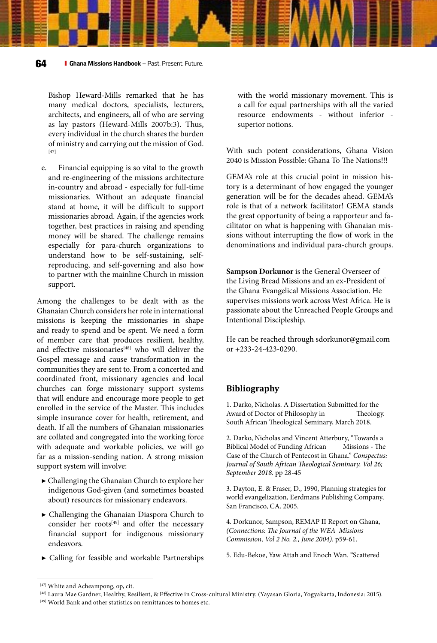Bishop Heward-Mills remarked that he has many medical doctors, specialists, lecturers, architects, and engineers, all of who are serving as lay pastors (Heward-Mills 2007b:3). Thus, every individual in the church shares the burden of ministry and carrying out the mission of God. [47]

e. Financial equipping is so vital to the growth and re-engineering of the missions architecture in-country and abroad - especially for full-time missionaries. Without an adequate financial stand at home, it will be difficult to support missionaries abroad. Again, if the agencies work together, best practices in raising and spending money will be shared. The challenge remains especially for para-church organizations to understand how to be self-sustaining, selfreproducing, and self-governing and also how to partner with the mainline Church in mission support.

Among the challenges to be dealt with as the Ghanaian Church considers her role in international missions is keeping the missionaries in shape and ready to spend and be spent. We need a form of member care that produces resilient, healthy, and effective missionaries<sup>[48]</sup> who will deliver the Gospel message and cause transformation in the communities they are sent to. From a concerted and coordinated front, missionary agencies and local churches can forge missionary support systems that will endure and encourage more people to get enrolled in the service of the Master. This includes simple insurance cover for health, retirement, and death. If all the numbers of Ghanaian missionaries are collated and congregated into the working force with adequate and workable policies, we will go far as a mission-sending nation. A strong mission support system will involve:

- ▶ Challenging the Ghanaian Church to explore her indigenous God-given (and sometimes boasted about) resources for missionary endeavors.
- ▶ Challenging the Ghanaian Diaspora Church to consider her roots<sup>[49]</sup> and offer the necessary financial support for indigenous missionary endeavors.
- ▶ Calling for feasible and workable Partnerships

with the world missionary movement. This is a call for equal partnerships with all the varied resource endowments - without inferior superior notions.

With such potent considerations, Ghana Vision 2040 is Mission Possible: Ghana To The Nations!!!

GEMA's role at this crucial point in mission history is a determinant of how engaged the younger generation will be for the decades ahead. GEMA's role is that of a network facilitator! GEMA stands the great opportunity of being a rapporteur and facilitator on what is happening with Ghanaian missions without interrupting the flow of work in the denominations and individual para-church groups.

**Sampson Dorkunor** is the General Overseer of the Living Bread Missions and an ex-President of the Ghana Evangelical Missions Association. He supervises missions work across West Africa. He is passionate about the Unreached People Groups and Intentional Discipleship.

He can be reached through sdorkunor@gmail.com or +233-24-423-0290.

#### **Bibliography**

1. Darko, Nicholas. A Dissertation Submitted for the Award of Doctor of Philosophy in Theology. South African Theological Seminary, March 2018.

2. Darko, Nicholas and Vincent Atterbury, "Towards a Biblical Model of Funding African Missions - The Case of the Church of Pentecost in Ghana." *Conspectus: Journal of South African Theological Seminary. Vol 26; September 2018.* pp 28-45

3. Dayton, E. & Fraser, D., 1990, Planning strategies for world evangelization, Eerdmans Publishing Company, San Francisco, CA. 2005.

4. Dorkunor, Sampson, REMAP II Report on Ghana, *(Connections: The Journal of the WEA Missions Commission, Vol 2 No. 2., June 2004)*. p59-61.

5. Edu-Bekoe, Yaw Attah and Enoch Wan. "Scattered

<sup>&</sup>lt;sup>[47]</sup> White and Acheampong, op, cit.<br><sup>[48]</sup> Laura Mae Gardner, Healthy, Resilient, & Effective in Cross-cultural Ministry. (Yayasan Gloria, Yogyakarta, Indonesia: 2015).<br><sup>[49]</sup> World Bank and other statistics on remittanc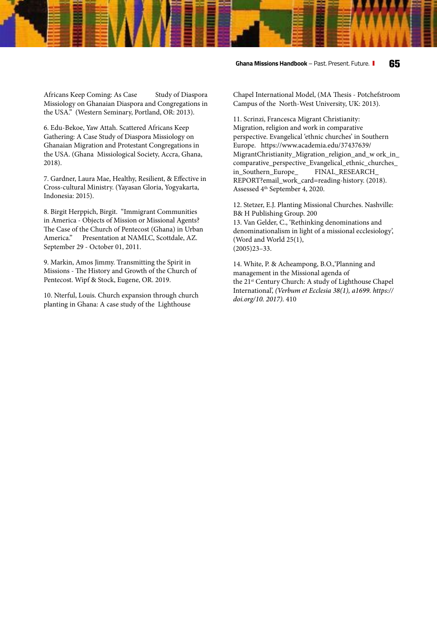**Ghana Missions Handbook** – Past. Present. Future. **65**

Africans Keep Coming: As Case Study of Diaspora Missiology on Ghanaian Diaspora and Congregations in the USA." (Western Seminary, Portland, OR: 2013).

6. Edu-Bekoe, Yaw Attah. Scattered Africans Keep Gathering: A Case Study of Diaspora Missiology on Ghanaian Migration and Protestant Congregations in the USA. (Ghana Missiological Society, Accra, Ghana, 2018).

7. Gardner, Laura Mae, Healthy, Resilient, & Effective in Cross-cultural Ministry. (Yayasan Gloria, Yogyakarta, Indonesia: 2015).

8. Birgit Herppich, Birgit. "Immigrant Communities in America - Objects of Mission or Missional Agents? The Case of the Church of Pentecost (Ghana) in Urban America." Presentation at NAMLC, Scottdale, AZ. September 29 - October 01, 2011.

9. Markin, Amos Jimmy. Transmitting the Spirit in Missions - The History and Growth of the Church of Pentecost. Wipf & Stock, Eugene, OR. 2019.

10. Nterful, Louis. Church expansion through church planting in Ghana: A case study of the Lighthouse

Chapel International Model, (MA Thesis - Potchefstroom Campus of the North-West University, UK: 2013).

11. Scrinzi, Francesca Migrant Christianity: Migration, religion and work in comparative perspective. Evangelical 'ethnic churches' in Southern Europe. https://www.academia.edu/37437639/ MigrantChristianity\_Migration\_religion\_and\_w ork\_in\_ comparative\_perspective\_Evangelical\_ethnic\_churches\_ in\_Southern\_Europe\_ FINAL\_RESEARCH\_ REPORT?email\_work\_card=reading-history. (2018). Assessed 4th September 4, 2020.

12. Stetzer, E.J. Planting Missional Churches. Nashville: B& H Publishing Group. 200 13. Van Gelder, C., 'Rethinking denominations and denominationalism in light of a missional ecclesiology', (Word and World 25(1), (2005)23–33.

14. White, P. & Acheampong, B.O.,'Planning and management in the Missional agenda of the 21<sup>st</sup> Century Church: A study of Lighthouse Chapel International', *(Verbum et Ecclesia 38(1), a1699. https:// doi.org/10. 2017).* 410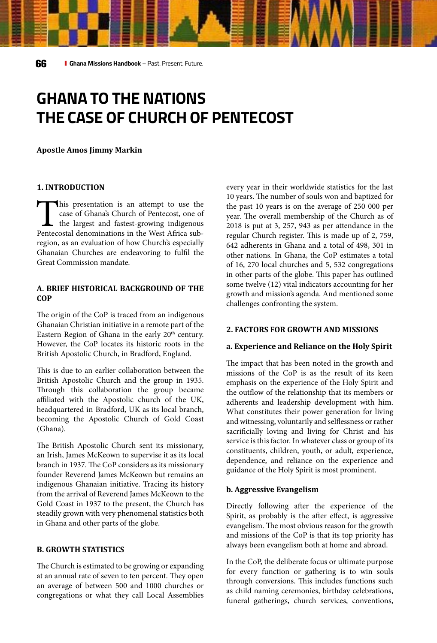## **GHANA TO THE NATIONS THE CASE OF CHURCH OF PENTECOST**

#### **Apostle Amos Jimmy Markin**

#### **1. INTRODUCTION**

This presentation is an attempt to use the case of Ghana's Church of Pentecost, one of the largest and fastest-growing indigenous Pentecostal denominations in the West Africa subcase of Ghana's Church of Pentecost, one of  $\mathsf{\mathsf{L}}$  the largest and fastest-growing indigenous region, as an evaluation of how Church's especially Ghanaian Churches are endeavoring to fulfil the Great Commission mandate.

#### **A. BRIEF HISTORICAL BACKGROUND OF THE COP**

The origin of the CoP is traced from an indigenous Ghanaian Christian initiative in a remote part of the Eastern Region of Ghana in the early 20<sup>th</sup> century. However, the CoP locates its historic roots in the British Apostolic Church, in Bradford, England.

This is due to an earlier collaboration between the British Apostolic Church and the group in 1935. Through this collaboration the group became affiliated with the Apostolic church of the UK, headquartered in Bradford, UK as its local branch, becoming the Apostolic Church of Gold Coast (Ghana).

The British Apostolic Church sent its missionary, an Irish, James McKeown to supervise it as its local branch in 1937. The CoP considers as its missionary founder Reverend James McKeown but remains an indigenous Ghanaian initiative. Tracing its history from the arrival of Reverend James McKeown to the Gold Coast in 1937 to the present, the Church has steadily grown with very phenomenal statistics both in Ghana and other parts of the globe.

#### **B. GROWTH STATISTICS**

The Church is estimated to be growing or expanding at an annual rate of seven to ten percent. They open an average of between 500 and 1000 churches or congregations or what they call Local Assemblies every year in their worldwide statistics for the last 10 years. The number of souls won and baptized for the past 10 years is on the average of 250 000 per year. The overall membership of the Church as of 2018 is put at 3, 257, 943 as per attendance in the regular Church register. This is made up of 2, 759, 642 adherents in Ghana and a total of 498, 301 in other nations. In Ghana, the CoP estimates a total of 16, 270 local churches and 5, 532 congregations in other parts of the globe. This paper has outlined some twelve (12) vital indicators accounting for her growth and mission's agenda. And mentioned some challenges confronting the system.

#### **2. FACTORS FOR GROWTH AND MISSIONS**

#### **a. Experience and Reliance on the Holy Spirit**

The impact that has been noted in the growth and missions of the CoP is as the result of its keen emphasis on the experience of the Holy Spirit and the outflow of the relationship that its members or adherents and leadership development with him. What constitutes their power generation for living and witnessing, voluntarily and selflessness or rather sacrificially loving and living for Christ and his service is this factor. In whatever class or group of its constituents, children, youth, or adult, experience, dependence, and reliance on the experience and guidance of the Holy Spirit is most prominent.

#### **b. Aggressive Evangelism**

Directly following after the experience of the Spirit, as probably is the after effect, is aggressive evangelism. The most obvious reason for the growth and missions of the CoP is that its top priority has always been evangelism both at home and abroad.

In the CoP, the deliberate focus or ultimate purpose for every function or gathering is to win souls through conversions. This includes functions such as child naming ceremonies, birthday celebrations, funeral gatherings, church services, conventions,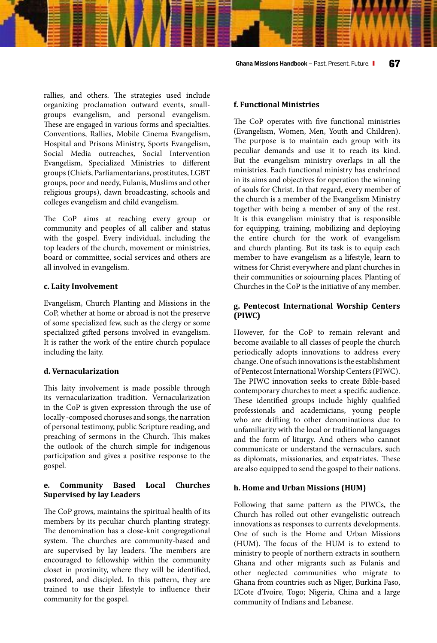rallies, and others. The strategies used include organizing proclamation outward events, smallgroups evangelism, and personal evangelism. These are engaged in various forms and specialties. Conventions, Rallies, Mobile Cinema Evangelism, Hospital and Prisons Ministry, Sports Evangelism, Social Media outreaches, Social Intervention Evangelism, Specialized Ministries to different groups (Chiefs, Parliamentarians, prostitutes, LGBT groups, poor and needy, Fulanis, Muslims and other religious groups), dawn broadcasting, schools and colleges evangelism and child evangelism.

The CoP aims at reaching every group or community and peoples of all caliber and status with the gospel. Every individual, including the top leaders of the church, movement or ministries, board or committee, social services and others are all involved in evangelism.

#### **c. Laity Involvement**

Evangelism, Church Planting and Missions in the CoP, whether at home or abroad is not the preserve of some specialized few, such as the clergy or some specialized gifted persons involved in evangelism. It is rather the work of the entire church populace including the laity.

#### **d. Vernacularization**

This laity involvement is made possible through its vernacularization tradition. Vernacularization in the CoP is given expression through the use of locally -composed choruses and songs, the narration of personal testimony, public Scripture reading, and preaching of sermons in the Church. This makes the outlook of the church simple for indigenous participation and gives a positive response to the gospel.

#### **e. Community Based Local Churches Supervised by lay Leaders**

The CoP grows, maintains the spiritual health of its members by its peculiar church planting strategy. The denomination has a close-knit congregational system. The churches are community-based and are supervised by lay leaders. The members are encouraged to fellowship within the community closet in proximity, where they will be identified, pastored, and discipled. In this pattern, they are trained to use their lifestyle to influence their community for the gospel.

#### **f. Functional Ministries**

The CoP operates with five functional ministries (Evangelism, Women, Men, Youth and Children). The purpose is to maintain each group with its peculiar demands and use it to reach its kind. But the evangelism ministry overlaps in all the ministries. Each functional ministry has enshrined in its aims and objectives for operation the winning of souls for Christ. In that regard, every member of the church is a member of the Evangelism Ministry together with being a member of any of the rest. It is this evangelism ministry that is responsible for equipping, training, mobilizing and deploying the entire church for the work of evangelism and church planting. But its task is to equip each member to have evangelism as a lifestyle, learn to witness for Christ everywhere and plant churches in their communities or sojourning places. Planting of Churches in the CoP is the initiative of any member.

#### **g. Pentecost International Worship Centers (PIWC)**

However, for the CoP to remain relevant and become available to all classes of people the church periodically adopts innovations to address every change. One of such innovations is the establishment of Pentecost International Worship Centers (PIWC). The PIWC innovation seeks to create Bible-based contemporary churches to meet a specific audience. These identified groups include highly qualified professionals and academicians, young people who are drifting to other denominations due to unfamiliarity with the local or traditional languages and the form of liturgy. And others who cannot communicate or understand the vernaculars, such as diplomats, missionaries, and expatriates. These are also equipped to send the gospel to their nations.

#### **h. Home and Urban Missions (HUM)**

Following that same pattern as the PIWCs, the Church has rolled out other evangelistic outreach innovations as responses to currents developments. One of such is the Home and Urban Missions (HUM). The focus of the HUM is to extend to ministry to people of northern extracts in southern Ghana and other migrants such as Fulanis and other neglected communities who migrate to Ghana from countries such as Niger, Burkina Faso, L'Cote d'Ivoire, Togo; Nigeria, China and a large community of Indians and Lebanese.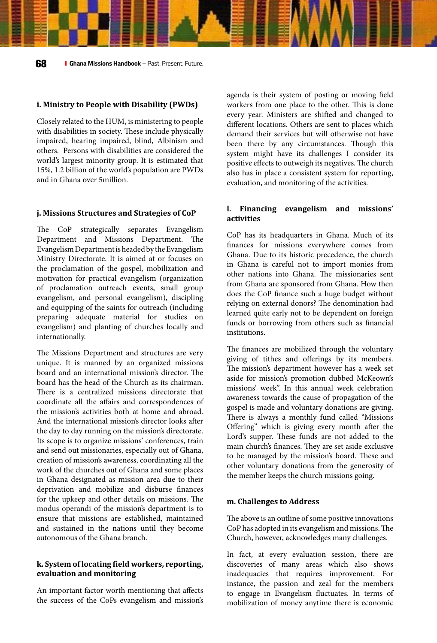#### **i. Ministry to People with Disability (PWDs)**

Closely related to the HUM, is ministering to people with disabilities in society. These include physically impaired, hearing impaired, blind, Albinism and others. Persons with disabilities are considered the world's largest minority group. It is estimated that 15%, 1.2 billion of the world's population are PWDs and in Ghana over 5million.

#### **j. Missions Structures and Strategies of CoP**

The CoP strategically separates Evangelism Department and Missions Department. The Evangelism Department is headed by the Evangelism Ministry Directorate. It is aimed at or focuses on the proclamation of the gospel, mobilization and motivation for practical evangelism (organization of proclamation outreach events, small group evangelism, and personal evangelism), discipling and equipping of the saints for outreach (including preparing adequate material for studies on evangelism) and planting of churches locally and internationally.

The Missions Department and structures are very unique. It is manned by an organized missions board and an international mission's director. The board has the head of the Church as its chairman. There is a centralized missions directorate that coordinate all the affairs and correspondences of the mission's activities both at home and abroad. And the international mission's director looks after the day to day running on the mission's directorate. Its scope is to organize missions' conferences, train and send out missionaries, especially out of Ghana, creation of mission's awareness, coordinating all the work of the churches out of Ghana and some places in Ghana designated as mission area due to their deprivation and mobilize and disburse finances for the upkeep and other details on missions. The modus operandi of the mission's department is to ensure that missions are established, maintained and sustained in the nations until they become autonomous of the Ghana branch.

#### **k. System of locating field workers, reporting, evaluation and monitoring**

An important factor worth mentioning that affects the success of the CoPs evangelism and mission's agenda is their system of posting or moving field workers from one place to the other. This is done every year. Ministers are shifted and changed to different locations. Others are sent to places which demand their services but will otherwise not have been there by any circumstances. Though this system might have its challenges I consider its positive effects to outweigh its negatives. The church also has in place a consistent system for reporting, evaluation, and monitoring of the activities.

#### **l. Financing evangelism and missions' activities**

CoP has its headquarters in Ghana. Much of its finances for missions everywhere comes from Ghana. Due to its historic precedence, the church in Ghana is careful not to import monies from other nations into Ghana. The missionaries sent from Ghana are sponsored from Ghana. How then does the CoP finance such a huge budget without relying on external donors? The denomination had learned quite early not to be dependent on foreign funds or borrowing from others such as financial institutions.

The finances are mobilized through the voluntary giving of tithes and offerings by its members. The mission's department however has a week set aside for mission's promotion dubbed McKeown's missions' week". In this annual week celebration awareness towards the cause of propagation of the gospel is made and voluntary donations are giving. There is always a monthly fund called "Missions Offering" which is giving every month after the Lord's supper. These funds are not added to the main church's finances. They are set aside exclusive to be managed by the mission's board. These and other voluntary donations from the generosity of the member keeps the church missions going.

#### **m. Challenges to Address**

The above is an outline of some positive innovations CoP has adopted in its evangelism and missions. The Church, however, acknowledges many challenges.

In fact, at every evaluation session, there are discoveries of many areas which also shows inadequacies that requires improvement. For instance, the passion and zeal for the members to engage in Evangelism fluctuates. In terms of mobilization of money anytime there is economic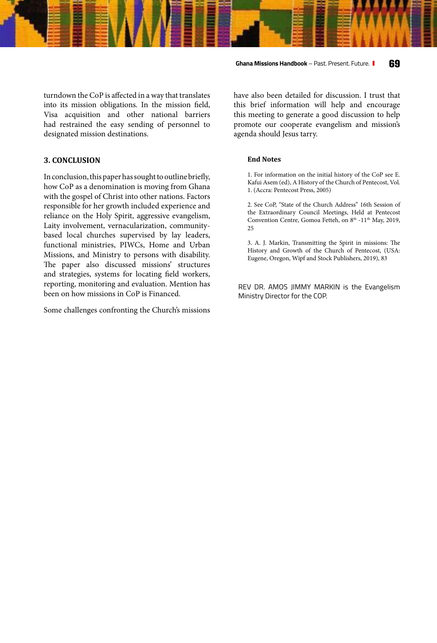turndown the CoP is affected in a way that translates into its mission obligations. In the mission field, Visa acquisition and other national barriers had restrained the easy sending of personnel to designated mission destinations.

#### **3. CONCLUSION**

In conclusion, this paper has sought to outline briefly, how CoP as a denomination is moving from Ghana with the gospel of Christ into other nations. Factors responsible for her growth included experience and reliance on the Holy Spirit, aggressive evangelism, Laity involvement, vernacularization, communitybased local churches supervised by lay leaders, functional ministries, PIWCs, Home and Urban Missions, and Ministry to persons with disability. The paper also discussed missions' structures and strategies, systems for locating field workers, reporting, monitoring and evaluation. Mention has been on how missions in CoP is Financed.

Some challenges confronting the Church's missions

**Ghana Missions Handbook** – Past. Present. Future. **69**

have also been detailed for discussion. I trust that this brief information will help and encourage this meeting to generate a good discussion to help promote our cooperate evangelism and mission's agenda should Jesus tarry.

#### **End Notes**

1. For information on the initial history of the CoP see E. Kafui Asem (ed), A History of the Church of Pentecost, Vol. 1. (Accra: Pentecost Press, 2005)

2. See CoP, "State of the Church Address" 16th Session of the Extraordinary Council Meetings, Held at Pentecost Convention Centre, Gomoa Fetteh, on 8<sup>th</sup> -11<sup>th</sup> May, 2019, 25

3. A. J. Markin, Transmitting the Spirit in missions: The History and Growth of the Church of Pentecost, (USA: Eugene, Oregon, Wipf and Stock Publishers, 2019), 83

REV DR. AMOS JIMMY MARKIN is the Evangelism Ministry Director for the COP.